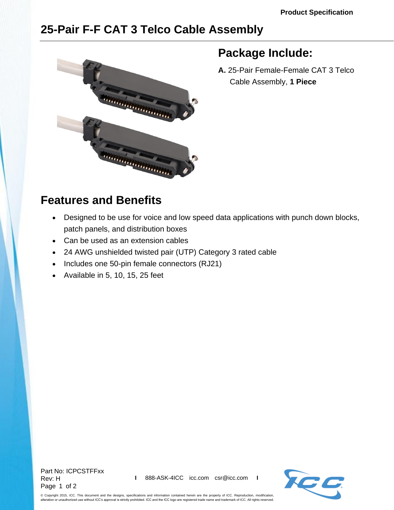## **25-Pair F-F CAT 3 Telco Cable Assembly**



## **Package Include:**

**A.** 25-Pair Female-Female CAT 3 Telco Cable Assembly, **1 Piece**

## **Features and Benefits**

- Designed to be use for voice and low speed data applications with punch down blocks, patch panels, and distribution boxes
- Can be used as an extension cables
- 24 AWG unshielded twisted pair (UTP) Category 3 rated cable
- Includes one 50-pin female connectors (RJ21)
- Available in 5, 10, 15, 25 feet

Part No: ICPCSTFFxx Rev: H Page 1 of 2



© Copyright 2015, ICC. This document and the designs, specifications and information contained herein are the property of ICC. Reproduction, modification, alteration or unauthorized use without ICC's approval is strictly prohibited. ICC and the ICC logo are registered trade name and trademark of ICC. All rights reserved.